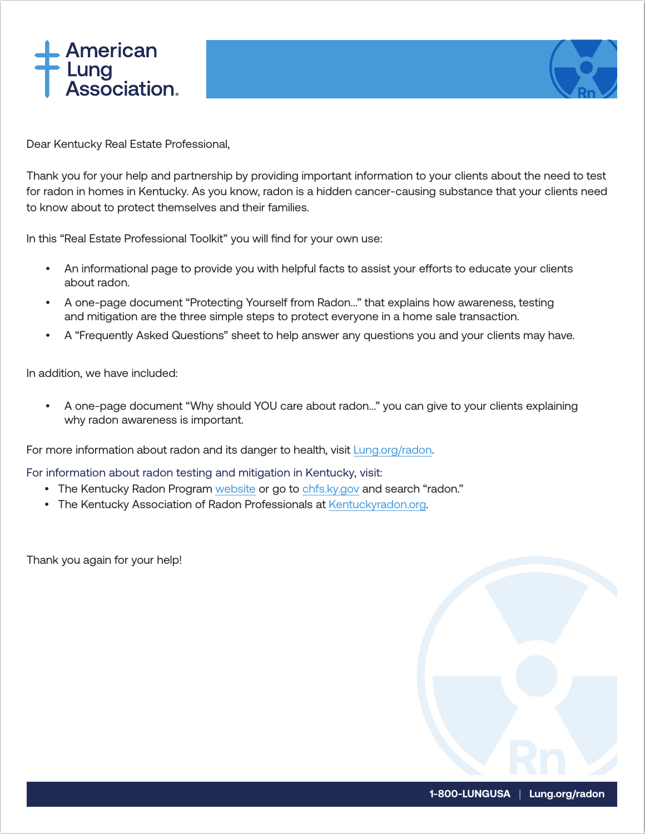



Dear Kentucky Real Estate Professional,

Thank you for your help and partnership by providing important information to your clients about the need to test for radon in homes in Kentucky. As you know, radon is a hidden cancer-causing substance that your clients need to know about to protect themselves and their families.

In this "Real Estate Professional Toolkit" you will find for your own use:

- An informational page to provide you with helpful facts to assist your efforts to educate your clients about radon.
- A one-page document "Protecting Yourself from Radon..." that explains how awareness, testing and mitigation are the three simple steps to protect everyone in a home sale transaction.
- A "Frequently Asked Questions" sheet to help answer any questions you and your clients may have.

In addition, we have included:

• A one-page document "Why should YOU care about radon..." you can give to your clients explaining why radon awareness is important.

For more information about radon and its danger to health, visit [Lung.org/radon](http://lung.org/radon).

For information about radon testing and mitigation in Kentucky, visit:

- The Kentucky Radon Program [website](https://chfs.ky.gov/agencies/dph/dphps/emb/Pages/radon.aspx) or go to [chfs.ky.gov](http://chfs.ky.gov/) and search "radon."
- The Kentucky Association of Radon Professionals at [Kentuckyradon.org.](https://kentuckyradon.org/)

Thank you again for your help!

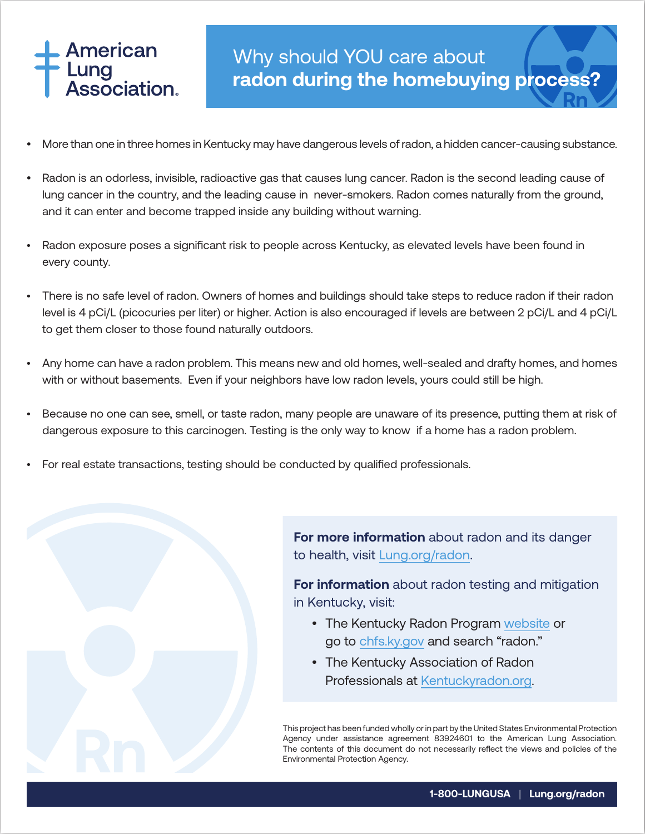

- More than one in three homes in Kentucky may have dangerous levels of radon, a hidden cancer-causing substance.
- Radon is an odorless, invisible, radioactive gas that causes lung cancer. Radon is the second leading cause of lung cancer in the country, and the leading cause in never-smokers. Radon comes naturally from the ground, and it can enter and become trapped inside any building without warning.
- Radon exposure poses a significant risk to people across Kentucky, as elevated levels have been found in every county.
- There is no safe level of radon. Owners of homes and buildings should take steps to reduce radon if their radon level is 4 pCi/L (picocuries per liter) or higher. Action is also encouraged if levels are between 2 pCi/L and 4 pCi/L to get them closer to those found naturally outdoors.
- Any home can have a radon problem. This means new and old homes, well-sealed and drafty homes, and homes with or without basements. Even if your neighbors have low radon levels, yours could still be high.
- Because no one can see, smell, or taste radon, many people are unaware of its presence, putting them at risk of dangerous exposure to this carcinogen. Testing is the only way to know if a home has a radon problem.
- For real estate transactions, testing should be conducted by qualified professionals.



**For more information** about radon and its danger to health, visit [Lung.org/radon](http://lung.org/radon).

**For information** about radon testing and mitigation in Kentucky, visit:

- The Kentucky Radon Program [website](https://chfs.ky.gov/agencies/dph/dphps/emb/Pages/radon.aspx) or go to [chfs.ky.gov](http://chfs.ky.gov/) and search "radon."
- The Kentucky Association of Radon Professionals at [Kentuckyradon.org.](https://kentuckyradon.org/)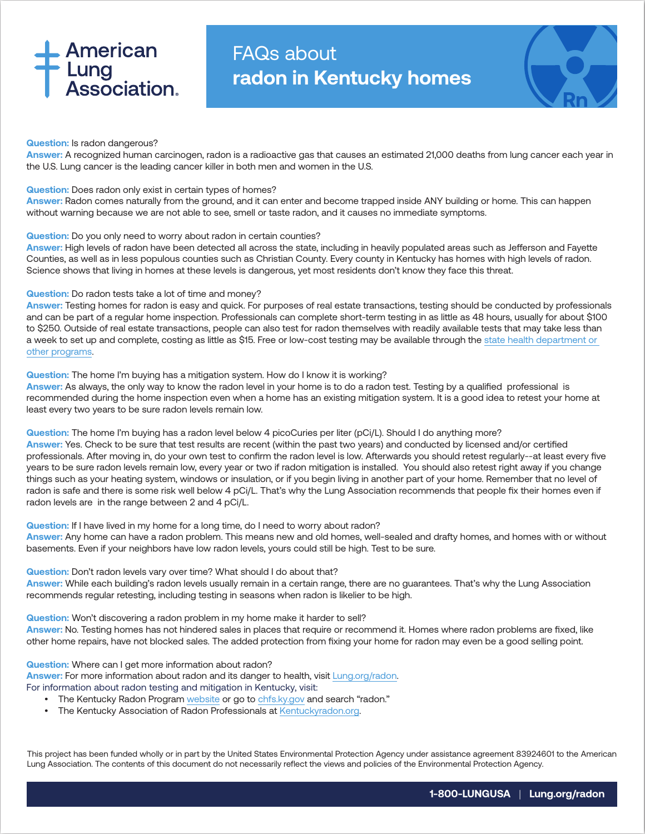# **American Lung<br>Association.**

# FAQs about **radon in Kentucky homes**



### **Question:** Is radon dangerous?

**Answer:** A recognized human carcinogen, radon is a radioactive gas that causes an estimated 21,000 deaths from lung cancer each year in the U.S. Lung cancer is the leading cancer killer in both men and women in the U.S.

## **Question:** Does radon only exist in certain types of homes?

**Answer:** Radon comes naturally from the ground, and it can enter and become trapped inside ANY building or home. This can happen without warning because we are not able to see, smell or taste radon, and it causes no immediate symptoms.

### **Question:** Do you only need to worry about radon in certain counties?

**Answer:** High levels of radon have been detected all across the state, including in heavily populated areas such as Jefferson and Fayette Counties, as well as in less populous counties such as Christian County. Every county in Kentucky has homes with high levels of radon. Science shows that living in homes at these levels is dangerous, yet most residents don't know they face this threat.

## **Question:** Do radon tests take a lot of time and money?

**Answer:** Testing homes for radon is easy and quick. For purposes of real estate transactions, testing should be conducted by professionals and can be part of a regular home inspection. Professionals can complete short-term testing in as little as 48 hours, usually for about \$100 to \$250. Outside of real estate transactions, people can also test for radon themselves with readily available tests that may take less than a week to set up and complete, costing as little as \$15. Free or low-cost testing may be available through the [state health department or](https://chfs.ky.gov/agencies/dph/dphps/emb/Pages/radon.aspx)  [other programs](https://chfs.ky.gov/agencies/dph/dphps/emb/Pages/radon.aspx).

### **Question:** The home I'm buying has a mitigation system. How do I know it is working?

**Answer:** As always, the only way to know the radon level in your home is to do a radon test. Testing by a qualified professional is recommended during the home inspection even when a home has an existing mitigation system. It is a good idea to retest your home at least every two years to be sure radon levels remain low.

**Question:** The home I'm buying has a radon level below 4 picoCuries per liter (pCi/L). Should I do anything more?

**Answer:** Yes. Check to be sure that test results are recent (within the past two years) and conducted by licensed and/or certified professionals. After moving in, do your own test to confirm the radon level is low. Afterwards you should retest regularly--at least every five years to be sure radon levels remain low, every year or two if radon mitigation is installed. You should also retest right away if you change things such as your heating system, windows or insulation, or if you begin living in another part of your home. Remember that no level of radon is safe and there is some risk well below 4 pCi/L. That's why the Lung Association recommends that people fix their homes even if radon levels are in the range between 2 and 4 pCi/L.

### **Question:** If I have lived in my home for a long time, do I need to worry about radon?

**Answer:** Any home can have a radon problem. This means new and old homes, well-sealed and drafty homes, and homes with or without basements. Even if your neighbors have low radon levels, yours could still be high. Test to be sure.

#### **Question:** Don't radon levels vary over time? What should I do about that?

**Answer:** While each building's radon levels usually remain in a certain range, there are no guarantees. That's why the Lung Association recommends regular retesting, including testing in seasons when radon is likelier to be high.

#### **Question:** Won't discovering a radon problem in my home make it harder to sell?

**Answer:** No. Testing homes has not hindered sales in places that require or recommend it. Homes where radon problems are fixed, like other home repairs, have not blocked sales. The added protection from fixing your home for radon may even be a good selling point.

**Question:** Where can I get more information about radon? **Answer:** For more information about radon and its danger to health, visit [Lung.org/radon.](http://lung.org/radon) For information about radon testing and mitigation in Kentucky, visit:

- The Kentucky Radon Program [website](https://chfs.ky.gov/agencies/dph/dphps/emb/Pages/radon.aspx) or go to [chfs.ky.gov](http://chfs.ky.gov/) and search "radon."
- The Kentucky Association of Radon Professionals at [Kentuckyradon.org](https://kentuckyradon.org/).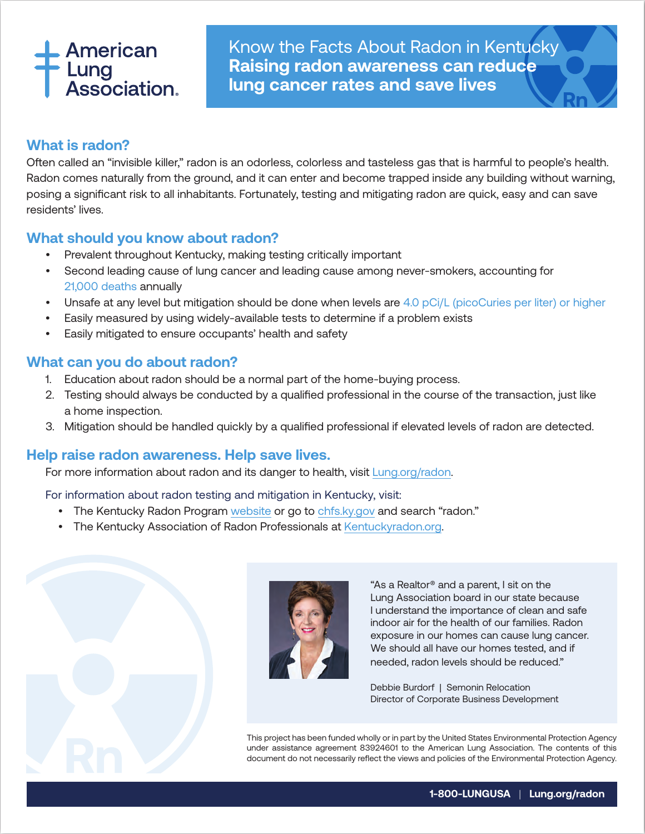# American Lung<br>\ssociation.

Know the Facts About Radon in Kentucky **Raising radon awareness can reduce lung cancer rates and save lives**

## **What is radon?**

Often called an "invisible killer," radon is an odorless, colorless and tasteless gas that is harmful to people's health. Radon comes naturally from the ground, and it can enter and become trapped inside any building without warning, posing a significant risk to all inhabitants. Fortunately, testing and mitigating radon are quick, easy and can save residents' lives.

## **What should you know about radon?**

- Prevalent throughout Kentucky, making testing critically important
- Second leading cause of lung cancer and leading cause among never-smokers, accounting for 21,000 deaths annually
- Unsafe at any level but mitigation should be done when levels are 4.0 pCi/L (picoCuries per liter) or higher
- Easily measured by using widely-available tests to determine if a problem exists
- Easily mitigated to ensure occupants' health and safety

## **What can you do about radon?**

- 1. Education about radon should be a normal part of the home-buying process.
- 2. Testing should always be conducted by a qualified professional in the course of the transaction, just like a home inspection.
- 3. Mitigation should be handled quickly by a qualified professional if elevated levels of radon are detected.

## **Help raise radon awareness. Help save lives.**

For more information about radon and its danger to health, visit [Lung.org/radon](http://lung.org/radon).

For information about radon testing and mitigation in Kentucky, visit:

- The Kentucky Radon Program [website](https://chfs.ky.gov/agencies/dph/dphps/emb/Pages/radon.aspx) or go to [chfs.ky.gov](http://chfs.ky.gov/) and search "radon."
- The Kentucky Association of Radon Professionals at [Kentuckyradon.org](https://kentuckyradon.org/).





"As a Realtor® and a parent, I sit on the Lung Association board in our state because I understand the importance of clean and safe indoor air for the health of our families. Radon exposure in our homes can cause lung cancer. We should all have our homes tested, and if needed, radon levels should be reduced."

Debbie Burdorf | Semonin Relocation Director of Corporate Business Development